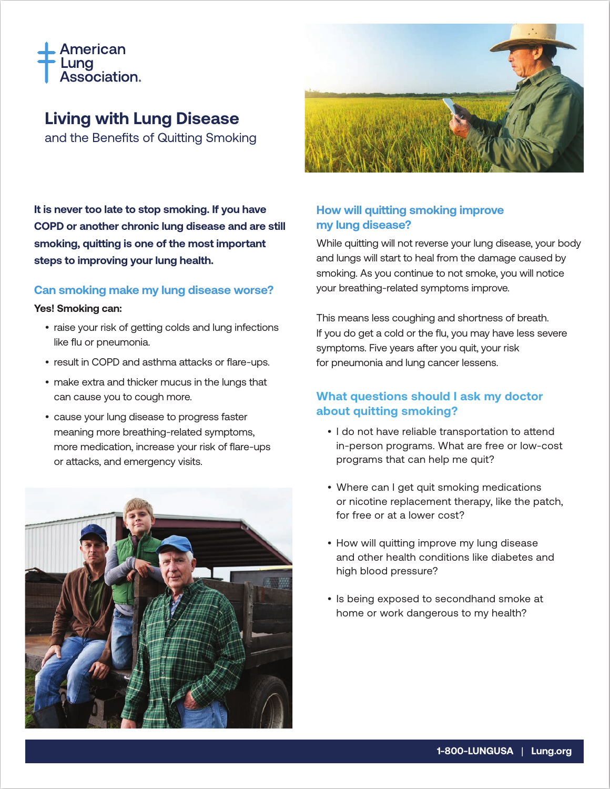

# **Living with Lung Disease**

and the Benefits of Quitting Smoking

**It is never too late to stop smoking. If you have COPD or another chronic lung disease and are still smoking, quitting is one of the most important steps to improving your lung health.**

### **Can smoking make my lung disease worse?**

#### **Yes! Smoking can:**

- raise your risk of getting colds and lung infections like flu or pneumonia.
- result in COPD and asthma attacks or flare-ups.
- make extra and thicker mucus in the lungs that can cause you to cough more.
- cause your lung disease to progress faster meaning more breathing-related symptoms, more medication, increase your risk of flare-ups or attacks, and emergency visits.





# **How will quitting smoking improve my lung disease?**

While quitting will not reverse your lung disease, your body and lungs will start to heal from the damage caused by smoking. As you continue to not smoke, you will notice your breathing-related symptoms improve.

This means less coughing and shortness of breath. If you do get a cold or the flu, you may have less severe symptoms. Five years after you quit, your risk for pneumonia and lung cancer lessens.

# **What questions should I ask my doctor about quitting smoking?**

- I do not have reliable transportation to attend in-person programs. What are free or low-cost programs that can help me quit?
- Where can I get quit smoking medications or nicotine replacement therapy, like the patch, for free or at a lower cost?
- How will quitting improve my lung disease and other health conditions like diabetes and high blood pressure?
- Is being exposed to secondhand smoke at home or work dangerous to my health?